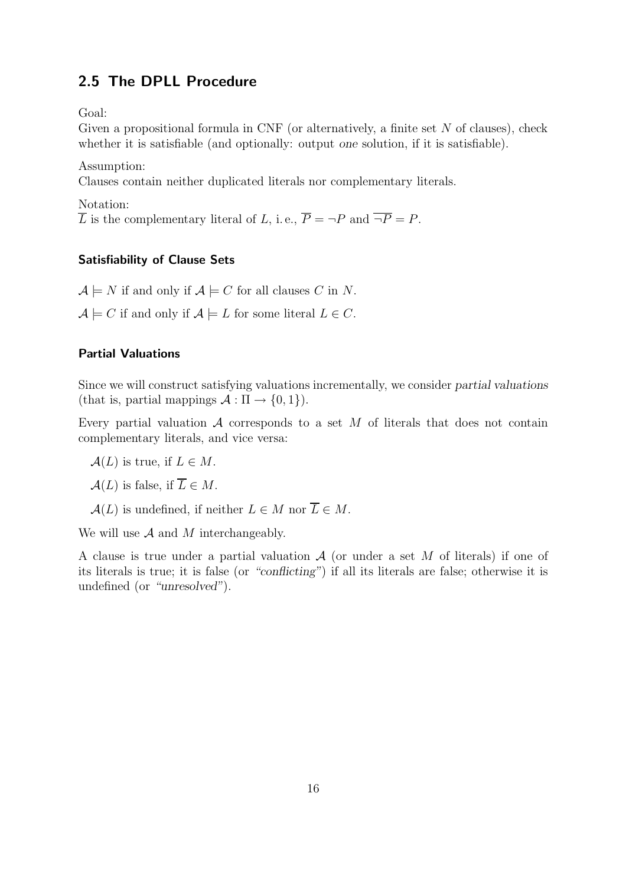# 2.5 The DPLL Procedure

Goal:

Given a propositional formula in CNF (or alternatively, a finite set  $N$  of clauses), check whether it is satisfiable (and optionally: output *one* solution, if it is satisfiable).

Assumption:

Clauses contain neither duplicated literals nor complementary literals.

Notation:

 $\overline{L}$  is the complementary literal of L, i.e.,  $\overline{P} = \neg P$  and  $\overline{\neg P} = P$ .

#### Satisfiability of Clause Sets

 $\mathcal{A} \models N$  if and only if  $\mathcal{A} \models C$  for all clauses C in N.

 $\mathcal{A} \models C$  if and only if  $\mathcal{A} \models L$  for some literal  $L \in C$ .

### Partial Valuations

Since we will construct satisfying valuations incrementally, we consider *partial valuations* (that is, partial mappings  $\mathcal{A} : \Pi \to \{0, 1\}$ ).

Every partial valuation  $A$  corresponds to a set  $M$  of literals that does not contain complementary literals, and vice versa:

- $\mathcal{A}(L)$  is true, if  $L \in M$ .
- $\mathcal{A}(L)$  is false, if  $\overline{L} \in M$ .
- $\mathcal{A}(L)$  is undefined, if neither  $L \in M$  nor  $\overline{L} \in M$ .

We will use  $A$  and  $M$  interchangeably.

A clause is true under a partial valuation  $A$  (or under a set  $M$  of literals) if one of its literals is true; it is false (or *"conflicting"*) if all its literals are false; otherwise it is undefined (or *"unresolved"*).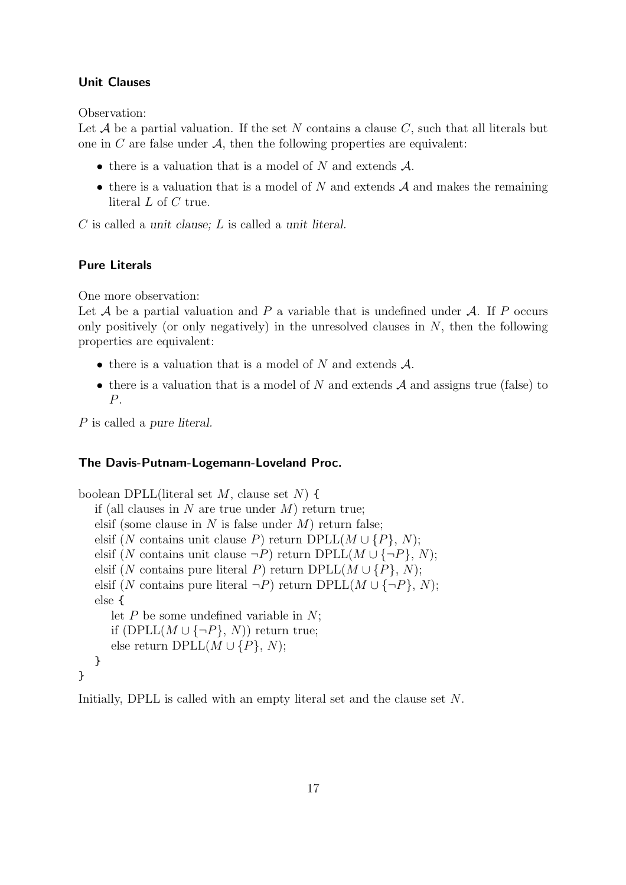### Unit Clauses

Observation:

Let  $\mathcal A$  be a partial valuation. If the set N contains a clause  $C$ , such that all literals but one in  $C$  are false under  $A$ , then the following properties are equivalent:

- $\bullet$  there is a valuation that is a model of N and extends  $\mathcal{A}$ .
- there is a valuation that is a model of  $N$  and extends  $A$  and makes the remaining literal L of C true.

C is called a *unit clause;* L is called a *unit literal.*

#### Pure Literals

One more observation:

Let  $A$  be a partial valuation and  $P$  a variable that is undefined under  $A$ . If  $P$  occurs only positively (or only negatively) in the unresolved clauses in  $N$ , then the following properties are equivalent:

- $\bullet$  there is a valuation that is a model of N and extends  $\mathcal{A}$ .
- there is a valuation that is a model of  $N$  and extends  $A$  and assigns true (false) to P.

P is called a *pure literal.*

#### The Davis-Putnam-Logemann-Loveland Proc.

```
boolean DPLL(literal set M, clause set N) {
   if (all clauses in N are true under M) return true;
   elsif (some clause in N is false under M) return false;
   elsif (N contains unit clause P) return DPLL(M \cup \{P\}, N);
   elsif (N contains unit clause ¬P) return DPLL(M \cup \{\neg P\}, N);
   elsif (N contains pure literal P) return DPLL(M \cup \{P\}, N);
   elsif (N contains pure literal ¬P) return DPLL(M \cup \{\neg P\}, N);
   else {
      let P be some undefined variable in N;
      if (DPLL(M \cup {\neg P}, N)) return true;
      else return DPLL(M \cup \{P\}, N);}
}
```
Initially, DPLL is called with an empty literal set and the clause set N.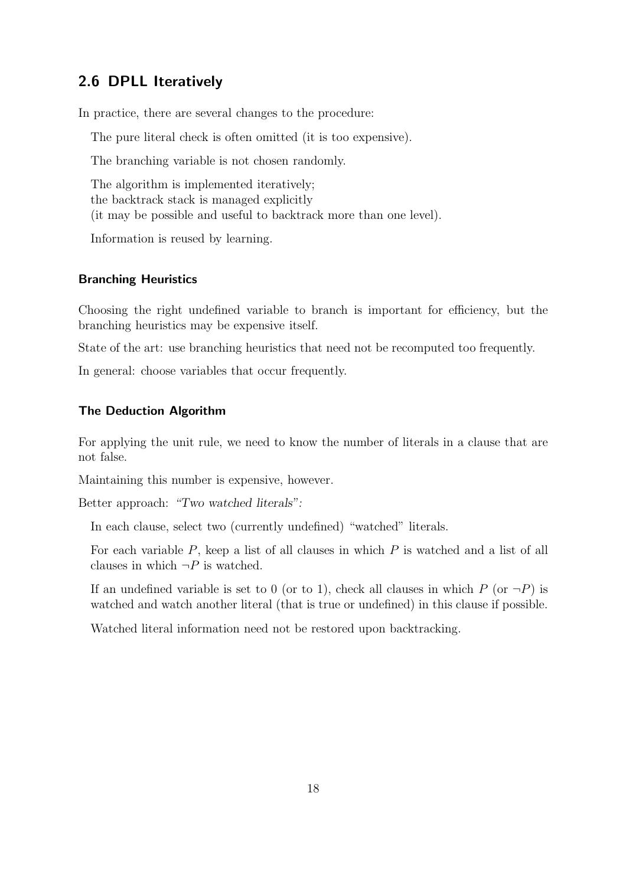# 2.6 DPLL Iteratively

In practice, there are several changes to the procedure:

The pure literal check is often omitted (it is too expensive).

The branching variable is not chosen randomly.

The algorithm is implemented iteratively; the backtrack stack is managed explicitly (it may be possible and useful to backtrack more than one level).

Information is reused by learning.

### Branching Heuristics

Choosing the right undefined variable to branch is important for efficiency, but the branching heuristics may be expensive itself.

State of the art: use branching heuristics that need not be recomputed too frequently.

In general: choose variables that occur frequently.

# The Deduction Algorithm

For applying the unit rule, we need to know the number of literals in a clause that are not false.

Maintaining this number is expensive, however.

Better approach: *"Two watched literals":*

In each clause, select two (currently undefined) "watched" literals.

For each variable P, keep a list of all clauses in which P is watched and a list of all clauses in which  $\neg P$  is watched.

If an undefined variable is set to 0 (or to 1), check all clauses in which P (or  $\neg P$ ) is watched and watch another literal (that is true or undefined) in this clause if possible.

Watched literal information need not be restored upon backtracking.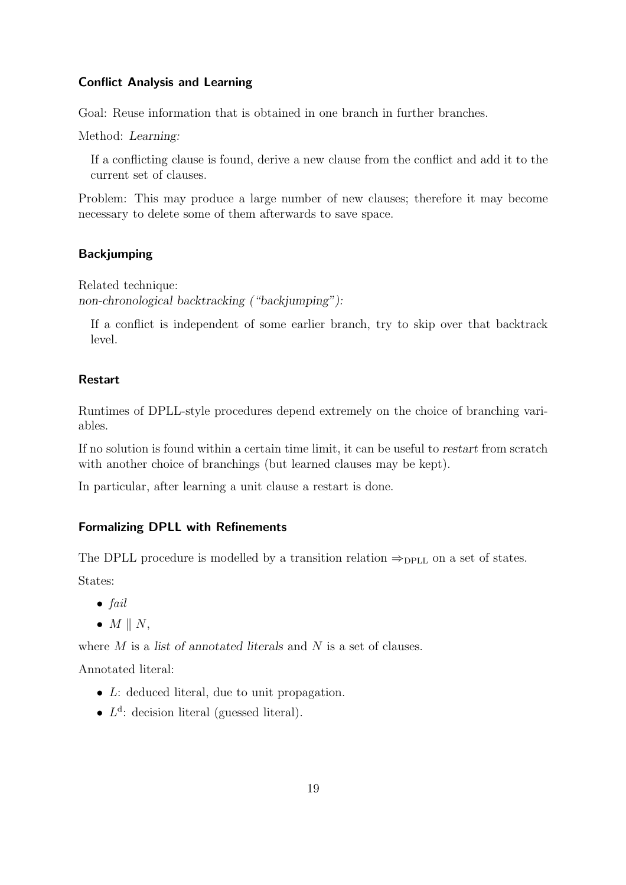### Conflict Analysis and Learning

Goal: Reuse information that is obtained in one branch in further branches.

Method: *Learning:*

If a conflicting clause is found, derive a new clause from the conflict and add it to the current set of clauses.

Problem: This may produce a large number of new clauses; therefore it may become necessary to delete some of them afterwards to save space.

# Backjumping

Related technique:

*non-chronological backtracking ("backjumping"):*

If a conflict is independent of some earlier branch, try to skip over that backtrack level.

### Restart

Runtimes of DPLL-style procedures depend extremely on the choice of branching variables.

If no solution is found within a certain time limit, it can be useful to *restart* from scratch with another choice of branchings (but learned clauses may be kept).

In particular, after learning a unit clause a restart is done.

#### Formalizing DPLL with Refinements

The DPLL procedure is modelled by a transition relation  $\Rightarrow_{\text{DPLL}}$  on a set of states. States:

- $\bullet$  fail
- $\bullet$  M || N,

where *M* is a *list of annotated literals* and *N* is a set of clauses.

Annotated literal:

- L: deduced literal, due to unit propagation.
- $L<sup>d</sup>$ : decision literal (guessed literal).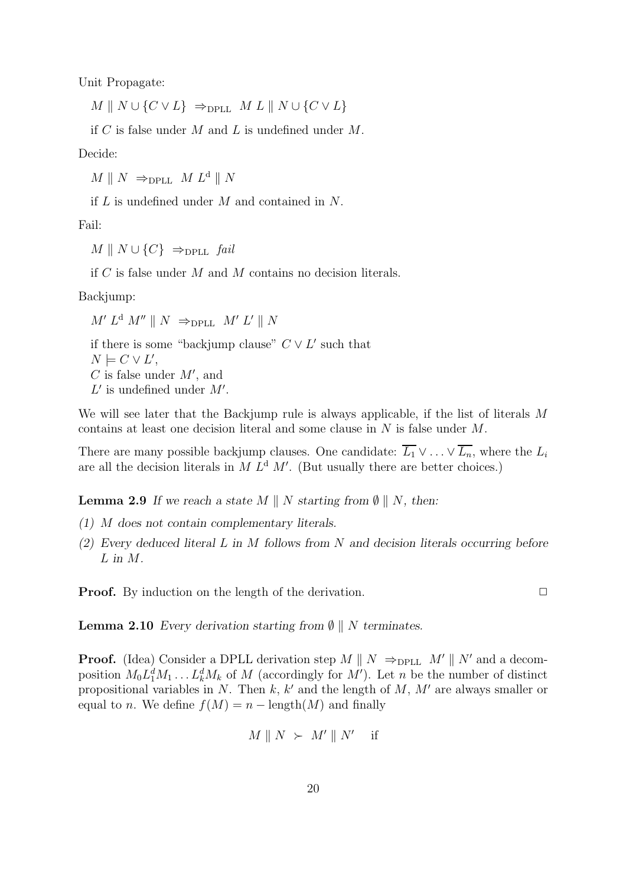Unit Propagate:

 $M \parallel N \cup \{C \vee L\} \Rightarrow_{\text{DPLL}} M L \parallel N \cup \{C \vee L\}$ 

if  $C$  is false under  $M$  and  $L$  is undefined under  $M$ .

Decide:

 $M \parallel N \Rightarrow_{\text{DPLL}} M L^{\text{d}} \parallel N$ 

if L is undefined under M and contained in N.

Fail:

 $M \parallel N \cup \{C\} \Rightarrow_{\text{DFLL}}$  fail

if C is false under M and M contains no decision literals.

Backjump:

 $M' L^d M'' \parallel N \Rightarrow_{\text{DPLL}} M' L' \parallel N$ 

if there is some "backjump clause"  $C \vee L'$  such that  $N \models C \vee L',$  $C$  is false under  $M'$ , and  $L'$  is undefined under  $M'$ .

We will see later that the Backjump rule is always applicable, if the list of literals M contains at least one decision literal and some clause in N is false under M.

There are many possible backjump clauses. One candidate:  $\overline{L_1} \vee \ldots \vee \overline{L_n}$ , where the  $L_i$ are all the decision literals in  $M L<sup>d</sup> M'$ . (But usually there are better choices.)

**Lemma 2.9** If we reach a state M || N starting from  $\emptyset$  || N, then:

- *(1)* M *does not contain complementary literals.*
- *(2) Every deduced literal* L *in* M *follows from* N *and decision literals occurring before* L *in* M*.*

**Proof.** By induction on the length of the derivation.  $\Box$ 

**Lemma 2.10** *Every derivation starting from*  $\emptyset$  || *N terminates.* 

**Proof.** (Idea) Consider a DPLL derivation step  $M \parallel N \Rightarrow_{\text{DPLL}} M' \parallel N'$  and a decomposition  $M_0 L_1^d M_1 \ldots L_k^d M_k$  of M (accordingly for  $M'$ ). Let n be the number of distinct propositional variables in N. Then k, k' and the length of M, M' are always smaller or equal to n. We define  $f(M) = n - \text{length}(M)$  and finally

$$
M \parallel N \succ M' \parallel N' \quad \text{if}
$$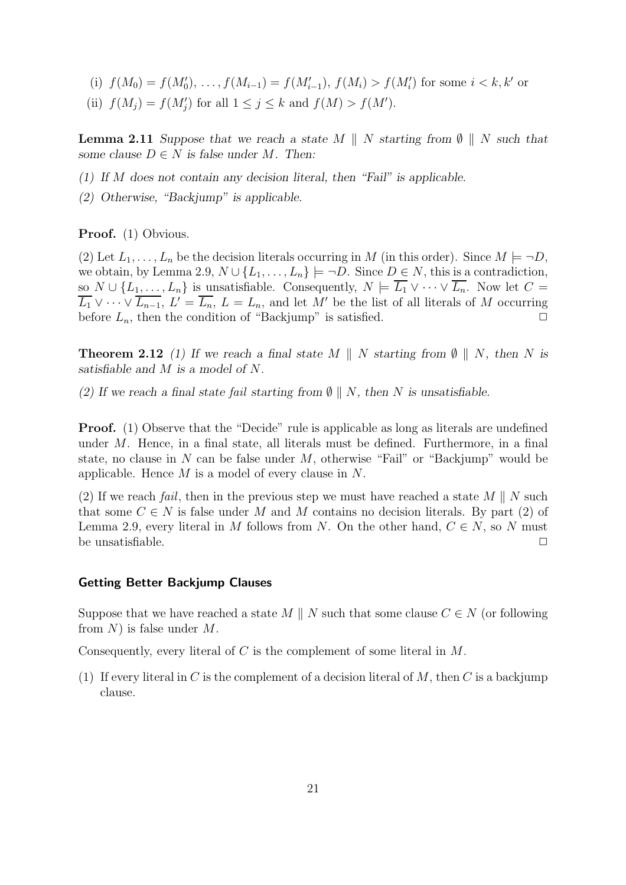(i)  $f(M_0) = f(M'_0), \ldots, f(M_{i-1}) = f(M'_{i-1}), f(M_i) > f(M'_i)$  for some  $i < k, k'$  or (ii)  $f(M_j) = f(M'_j)$  for all  $1 \le j \le k$  and  $f(M) > f(M')$ .

**Lemma 2.11** *Suppose that we reach a state*  $M \parallel N$  *starting from*  $\emptyset \parallel N$  *such that some clause*  $D \in N$  *is false under*  $M$ *. Then:* 

- *(1) If* M *does not contain any decision literal, then "Fail" is applicable.*
- *(2) Otherwise, "Backjump" is applicable.*

Proof. (1) Obvious.

(2) Let  $L_1, \ldots, L_n$  be the decision literals occurring in M (in this order). Since  $M \models \neg D$ , we obtain, by Lemma 2.9,  $N \cup \{L_1, \ldots, L_n\} \models \neg D$ . Since  $D \in N$ , this is a contradiction, so  $N \cup \{L_1,\ldots,L_n\}$  is unsatisfiable. Consequently,  $N \models \overline{L_1} \vee \cdots \vee \overline{L_n}$ . Now let  $C =$  $\overline{L_1} \vee \cdots \vee \overline{L_{n-1}}$ ,  $L' = \overline{L_n}$ ,  $L = L_n$ , and let M' be the list of all literals of M occurring before  $L_n$ , then the condition of "Backjump" is satisfied.  $\Box$ 

**Theorem 2.12** (1) If we reach a final state M || N starting from  $\emptyset$  || N, then N is *satisfiable and* M *is a model of* N*.*

*(2) If we reach a final state fail starting from*  $\emptyset \parallel N$ , then N is unsatisfiable.

Proof. (1) Observe that the "Decide" rule is applicable as long as literals are undefined under M. Hence, in a final state, all literals must be defined. Furthermore, in a final state, no clause in  $N$  can be false under  $M$ , otherwise "Fail" or "Backjump" would be applicable. Hence  $M$  is a model of every clause in  $N$ .

(2) If we reach fail, then in the previous step we must have reached a state  $M \parallel N$  such that some  $C \in N$  is false under M and M contains no decision literals. By part (2) of Lemma 2.9, every literal in M follows from N. On the other hand,  $C \in N$ , so N must be unsatisfiable.  $\Box$ 

#### Getting Better Backjump Clauses

Suppose that we have reached a state M || N such that some clause  $C \in N$  (or following from  $N$ ) is false under  $M$ .

Consequently, every literal of C is the complement of some literal in M.

(1) If every literal in C is the complement of a decision literal of M, then C is a backjump clause.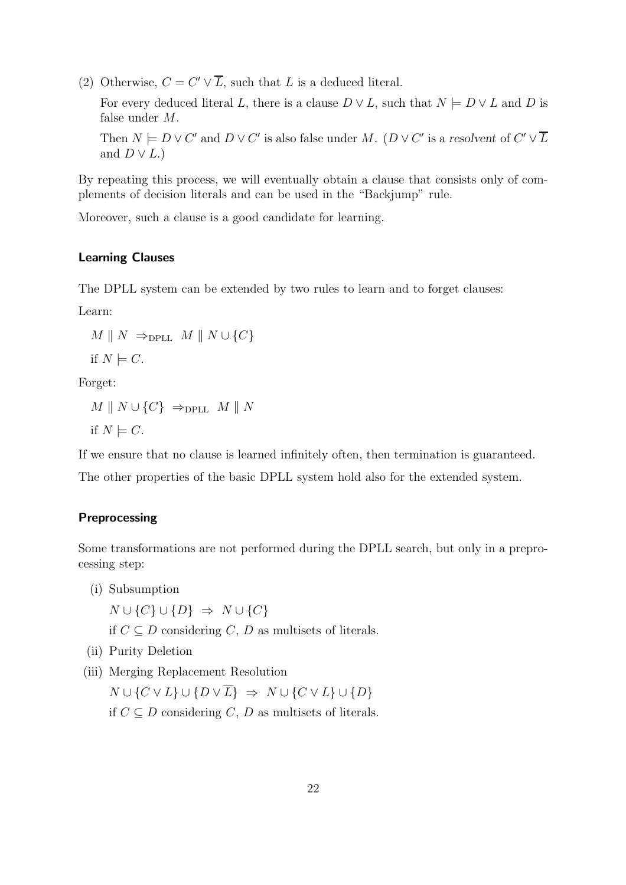(2) Otherwise,  $C = C' \vee \overline{L}$ , such that L is a deduced literal.

For every deduced literal L, there is a clause  $D \vee L$ , such that  $N \models D \vee L$  and D is false under M.

Then  $N \models D \lor C'$  and  $D \lor C'$  is also false under M. ( $D \lor C'$  is a resolvent of  $C' \lor \overline{L}$ and  $D \vee L$ .)

By repeating this process, we will eventually obtain a clause that consists only of complements of decision literals and can be used in the "Backjump" rule.

Moreover, such a clause is a good candidate for learning.

# Learning Clauses

The DPLL system can be extended by two rules to learn and to forget clauses:

Learn:

 $M \parallel N \Rightarrow_{\text{DPLL}} M \parallel N \cup \{C\}$ 

```
if N \models C.
```
Forget:

 $M \parallel N \cup \{C\} \Rightarrow_{\text{DPLL}} M \parallel N$ if  $N \models C$ .

If we ensure that no clause is learned infinitely often, then termination is guaranteed.

The other properties of the basic DPLL system hold also for the extended system.

# Preprocessing

Some transformations are not performed during the DPLL search, but only in a preprocessing step:

(i) Subsumption

 $N \cup \{C\} \cup \{D\} \Rightarrow N \cup \{C\}$ 

if  $C ⊂ D$  considering  $C, D$  as multisets of literals.

- (ii) Purity Deletion
- (iii) Merging Replacement Resolution

 $N \cup \{C \vee L\} \cup \{D \vee \overline{L}\} \Rightarrow N \cup \{C \vee L\} \cup \{D\}$ 

if  $C ⊆ D$  considering  $C, D$  as multisets of literals.